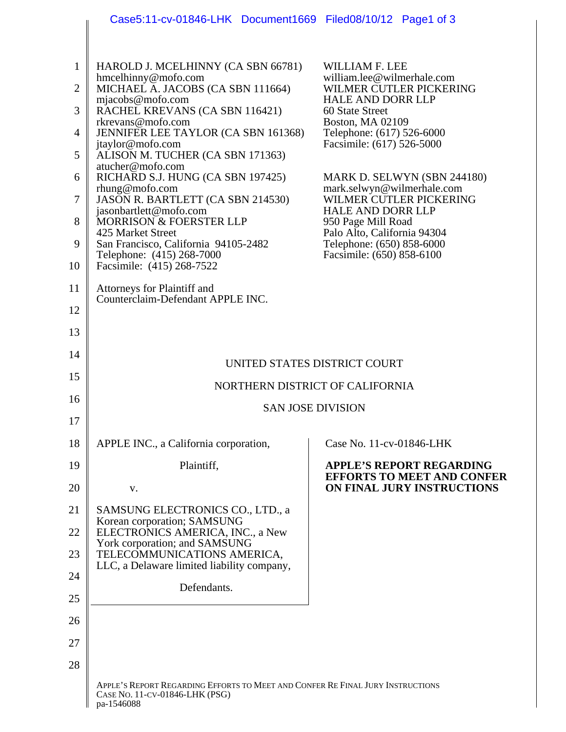|                | Case5:11-cv-01846-LHK Document1669 Filed08/10/12 Page1 of 3                                                      |                                                                                |  |  |
|----------------|------------------------------------------------------------------------------------------------------------------|--------------------------------------------------------------------------------|--|--|
|                |                                                                                                                  |                                                                                |  |  |
| $\mathbf{1}$   | HAROLD J. MCELHINNY (CA SBN 66781)                                                                               | WILLIAM F. LEE<br>william.lee@wilmerhale.com                                   |  |  |
| $\overline{2}$ | hmcelhinny@mofo.com<br>MICHAEL A. JACOBS (CA SBN 111664)<br>mjacobs@mofo.com                                     | WILMER CUTLER PICKERING<br><b>HALE AND DORR LLP</b>                            |  |  |
| 3              | RACHEL KREVANS (CA SBN 116421)<br>rkrevans@mofo.com                                                              | 60 State Street<br><b>Boston, MA 02109</b>                                     |  |  |
| $\overline{4}$ | JENNIFER LEE TAYLOR (CA SBN 161368)<br>jtaylor@mofo.com                                                          | Telephone: (617) 526-6000<br>Facsimile: (617) 526-5000                         |  |  |
| 5              | ALISON M. TUCHER (CA SBN 171363)<br>atucher@mofo.com                                                             |                                                                                |  |  |
| 6              | RICHARD S.J. HUNG (CA SBN 197425)<br>rhung@mofo.com                                                              | MARK D. SELWYN (SBN 244180)<br>mark.selwyn@wilmerhale.com                      |  |  |
| 7              | JASON R. BARTLETT (CA SBN 214530)<br>jasonbartlett@mofo.com                                                      | WILMER CUTLER PICKERING<br><b>HALE AND DORR LLP</b>                            |  |  |
| 8<br>9         | <b>MORRISON &amp; FOERSTER LLP</b><br>425 Market Street<br>San Francisco, California 94105-2482                  | 950 Page Mill Road<br>Palo Alto, California 94304<br>Telephone: (650) 858-6000 |  |  |
| 10             | Telephone: (415) 268-7000<br>Facsimile: (415) 268-7522                                                           | Facsimile: (650) 858-6100                                                      |  |  |
| 11             | Attorneys for Plaintiff and                                                                                      |                                                                                |  |  |
| 12             | Counterclaim-Defendant APPLE INC.                                                                                |                                                                                |  |  |
| 13             |                                                                                                                  |                                                                                |  |  |
| 14             | UNITED STATES DISTRICT COURT                                                                                     |                                                                                |  |  |
| 15             | NORTHERN DISTRICT OF CALIFORNIA                                                                                  |                                                                                |  |  |
| 16             | <b>SAN JOSE DIVISION</b>                                                                                         |                                                                                |  |  |
| 17             |                                                                                                                  |                                                                                |  |  |
| 18             | APPLE INC., a California corporation,                                                                            | Case No. 11-cv-01846-LHK                                                       |  |  |
| 19             | Plaintiff,                                                                                                       | <b>APPLE'S REPORT REGARDING</b><br><b>EFFORTS TO MEET AND CONFER</b>           |  |  |
| 20             | V.                                                                                                               | ON FINAL JURY INSTRUCTIONS                                                     |  |  |
| 21             | SAMSUNG ELECTRONICS CO., LTD., a<br>Korean corporation; SAMSUNG                                                  |                                                                                |  |  |
| 22             | ELECTRONICS AMERICA, INC., a New<br>York corporation; and SAMSUNG                                                |                                                                                |  |  |
| 23             | TELECOMMUNICATIONS AMERICA,<br>LLC, a Delaware limited liability company,                                        |                                                                                |  |  |
| 24             | Defendants.                                                                                                      |                                                                                |  |  |
| 25<br>26       |                                                                                                                  |                                                                                |  |  |
| 27             |                                                                                                                  |                                                                                |  |  |
| 28             |                                                                                                                  |                                                                                |  |  |
|                | APPLE'S REPORT REGARDING EFFORTS TO MEET AND CONFER RE FINAL JURY INSTRUCTIONS<br>CASE NO. 11-CV-01846-LHK (PSG) |                                                                                |  |  |

pa-1546088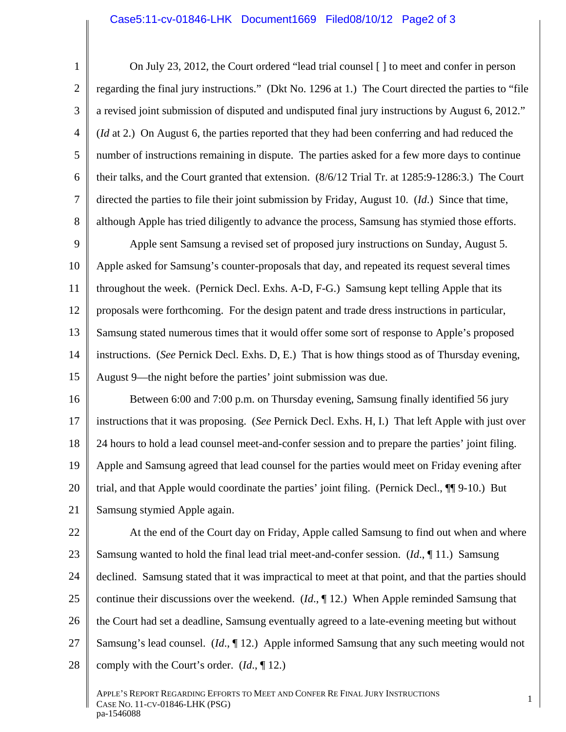## Case5:11-cv-01846-LHK Document1669 Filed08/10/12 Page2 of 3

1 2 3 4 5 6 7 8 On July 23, 2012, the Court ordered "lead trial counsel [ ] to meet and confer in person regarding the final jury instructions." (Dkt No. 1296 at 1.) The Court directed the parties to "file a revised joint submission of disputed and undisputed final jury instructions by August 6, 2012." (*Id* at 2.) On August 6, the parties reported that they had been conferring and had reduced the number of instructions remaining in dispute. The parties asked for a few more days to continue their talks, and the Court granted that extension. (8/6/12 Trial Tr. at 1285:9-1286:3.) The Court directed the parties to file their joint submission by Friday, August 10. (*Id*.) Since that time, although Apple has tried diligently to advance the process, Samsung has stymied those efforts.

9 10 11 12 13 14 15 Apple sent Samsung a revised set of proposed jury instructions on Sunday, August 5. Apple asked for Samsung's counter-proposals that day, and repeated its request several times throughout the week. (Pernick Decl. Exhs. A-D, F-G.) Samsung kept telling Apple that its proposals were forthcoming. For the design patent and trade dress instructions in particular, Samsung stated numerous times that it would offer some sort of response to Apple's proposed instructions. (*See* Pernick Decl. Exhs. D, E.) That is how things stood as of Thursday evening, August 9––the night before the parties' joint submission was due.

16 17 18 19 20 21 Between 6:00 and 7:00 p.m. on Thursday evening, Samsung finally identified 56 jury instructions that it was proposing. (*See* Pernick Decl. Exhs. H, I.) That left Apple with just over 24 hours to hold a lead counsel meet-and-confer session and to prepare the parties' joint filing. Apple and Samsung agreed that lead counsel for the parties would meet on Friday evening after trial, and that Apple would coordinate the parties' joint filing. (Pernick Decl., ¶¶ 9-10.) But Samsung stymied Apple again.

22 23 24 25 26 27 28 At the end of the Court day on Friday, Apple called Samsung to find out when and where Samsung wanted to hold the final lead trial meet-and-confer session. (*Id*., ¶ 11.) Samsung declined. Samsung stated that it was impractical to meet at that point, and that the parties should continue their discussions over the weekend. (*Id.*, 12.) When Apple reminded Samsung that the Court had set a deadline, Samsung eventually agreed to a late-evening meeting but without Samsung's lead counsel. (*Id*., ¶ 12.) Apple informed Samsung that any such meeting would not comply with the Court's order. (*Id*., ¶ 12.)